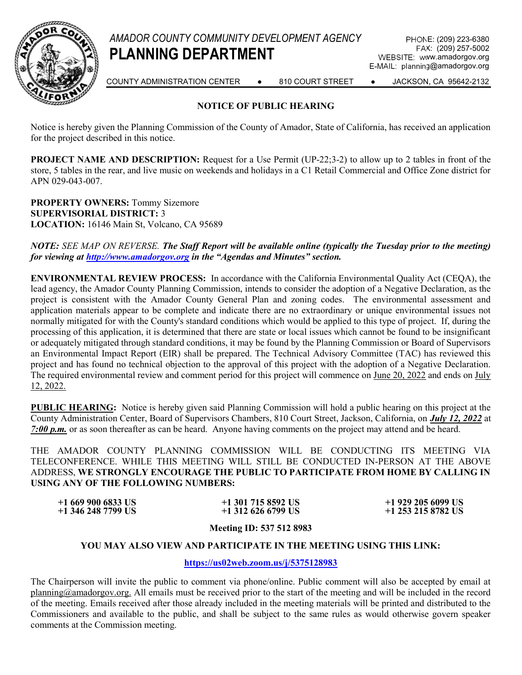

FAX: (209) 257-5002 WEBSITE: www.amadorgov.org E-MAIL: planning@amadorgov.org



COUNTY ADMINISTRATION CENTER ● 810 COURT STREET ● JACKSON, CA 95642-2132

## NOTICE OF PUBLIC HEARING

Notice is hereby given the Planning Commission of the County of Amador, State of California, has received an application for the project described in this notice.

PROJECT NAME AND DESCRIPTION: Request for a Use Permit (UP-22;3-2) to allow up to 2 tables in front of the store, 5 tables in the rear, and live music on weekends and holidays in a C1 Retail Commercial and Office Zone district for APN 029-043-007.

PROPERTY OWNERS: Tommy Sizemore SUPERVISORIAL DISTRICT: 3 LOCATION: 16146 Main St, Volcano, CA 95689

NOTE: SEE MAP ON REVERSE. The Staff Report will be available online (typically the Tuesday prior to the meeting) for viewing at **http://www.amadorgov.org** in the "Agendas and Minutes" section.

ENVIRONMENTAL REVIEW PROCESS: In accordance with the California Environmental Quality Act (CEQA), the lead agency, the Amador County Planning Commission, intends to consider the adoption of a Negative Declaration, as the project is consistent with the Amador County General Plan and zoning codes. The environmental assessment and application materials appear to be complete and indicate there are no extraordinary or unique environmental issues not normally mitigated for with the County's standard conditions which would be applied to this type of project. If, during the processing of this application, it is determined that there are state or local issues which cannot be found to be insignificant or adequately mitigated through standard conditions, it may be found by the Planning Commission or Board of Supervisors an Environmental Impact Report (EIR) shall be prepared. The Technical Advisory Committee (TAC) has reviewed this project and has found no technical objection to the approval of this project with the adoption of a Negative Declaration. The required environmental review and comment period for this project will commence on June 20, 2022 and ends on July 12, 2022.

PUBLIC HEARING: Notice is hereby given said Planning Commission will hold a public hearing on this project at the County Administration Center, Board of Supervisors Chambers, 810 Court Street, Jackson, California, on July 12, 2022 at 7:00  $p.m.$  or as soon thereafter as can be heard. Anyone having comments on the project may attend and be heard.

THE AMADOR COUNTY PLANNING COMMISSION WILL BE CONDUCTING ITS MEETING VIA TELECONFERENCE. WHILE THIS MEETING WILL STILL BE CONDUCTED IN-PERSON AT THE ABOVE ADDRESS, WE STRONGLY ENCOURAGE THE PUBLIC TO PARTICIPATE FROM HOME BY CALLING IN USING ANY OF THE FOLLOWING NUMBERS:

| $+16699006833$ US  | $+1$ 301 715 8592 US | $+1$ 929 205 6099 US |
|--------------------|----------------------|----------------------|
| +1 346 248 7799 US | $+1$ 312 626 6799 US | $+1$ 253 215 8782 US |

Meeting ID: 537 512 8983

#### YOU MAY ALSO VIEW AND PARTICIPATE IN THE MEETING USING THIS LINK:

#### https://us02web.zoom.us/j/5375128983

The Chairperson will invite the public to comment via phone/online. Public comment will also be accepted by email at planning@amadorgov.org. All emails must be received prior to the start of the meeting and will be included in the record of the meeting. Emails received after those already included in the meeting materials will be printed and distributed to the Commissioners and available to the public, and shall be subject to the same rules as would otherwise govern speaker comments at the Commission meeting.